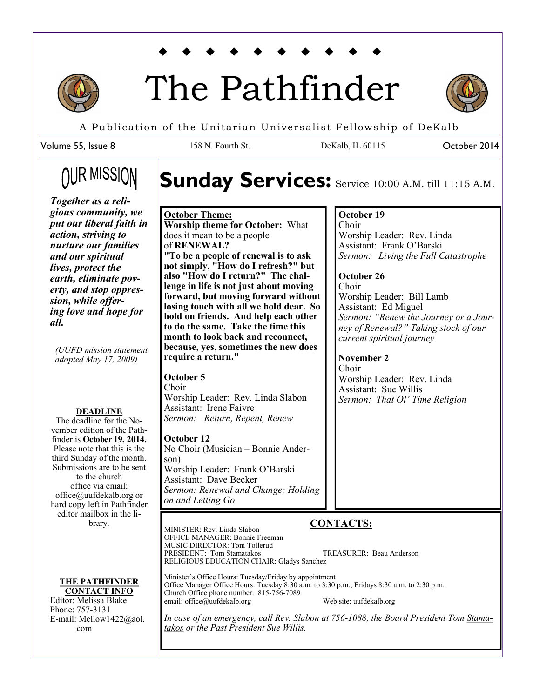

# The Pathfinder



October 2014

A Publication of the Unitarian Universalist Fellowship of DeKalb

158 N. Fourth St. DeKalb, IL 60115

Volume 55, Issue 8

# ∩UR MISSIOI

*Together as a religious community, we put our liberal faith in action, striving to nurture our families and our spiritual lives, protect the earth, eliminate poverty, and stop oppression, while offering love and hope for all.* 

*(UUFD mission statement adopted May 17, 2009)*

#### **DEADLINE**

The deadline for the November edition of the Pathfinder is **October 19, 2014.**  Please note that this is the third Sunday of the month. Submissions are to be sent to the church office via email: office@uufdekalb.org or hard copy left in Pathfinder editor mailbox in the library.

**THE PATHFINDER CONTACT INFO**

Editor: Melissa Blake Phone: 757-3131 E-mail: Mellow1422@aol. com

# Sunday Services: Service 10:00 A.M. till 11:15 A.M.

#### **October Theme:**

**Worship theme for October:** What does it mean to be a people of **RENEWAL? "To be a people of renewal is to ask not simply, "How do I refresh?" but also "How do I return?" The challenge in life is not just about moving forward, but moving forward without losing touch with all we hold dear. So hold on friends. And help each other to do the same. Take the time this month to look back and reconnect, because, yes, sometimes the new does require a return."**

#### **October 5**

Choir Worship Leader: Rev. Linda Slabon Assistant: Irene Faivre *Sermon: Return, Repent, Renew*

#### **October 12**

No Choir (Musician – Bonnie Anderson) Worship Leader: Frank O'Barski Assistant: Dave Becker *Sermon: Renewal and Change: Holding on and Letting Go*

# **CONTACTS:**

MINISTER: Rev. Linda Slabon OFFICE MANAGER: Bonnie Freeman MUSIC DIRECTOR: Toni Tollerud PRESIDENT: Tom [Stamatakos](https://www.facebook.com/jenny.stamatakos?fref=nf) TREASURER: Beau Anderson RELIGIOUS EDUCATION CHAIR: Gladys Sanchez Minister's Office Hours: Tuesday/Friday by appointment

Office Manager Office Hours: Tuesday 8:30 a.m. to 3:30 p.m.; Fridays 8:30 a.m. to 2:30 p.m. Church Office phone number: 815-756-7089 email: office@uufdekalb.org Web site: uufdekalb.org

*In case of an emergency, call Rev. Slabon at 756-1088, the Board President Tom [Stama](https://www.facebook.com/jenny.stamatakos?fref=nf)[takos](https://www.facebook.com/jenny.stamatakos?fref=nf) or the Past President Sue Willis.*

#### **October 19**

Choir Worship Leader: Rev. Linda Assistant: Frank O'Barski *Sermon: Living the Full Catastrophe*

#### **October 26** Choir Worship Leader: Bill Lamb Assistant: Ed Miguel *Sermon: "Renew the Journey or a Journey of Renewal?" Taking stock of our current spiritual journey*

**November 2** Choir Worship Leader: Rev. Linda Assistant: Sue Willis *Sermon: That Ol' Time Religion*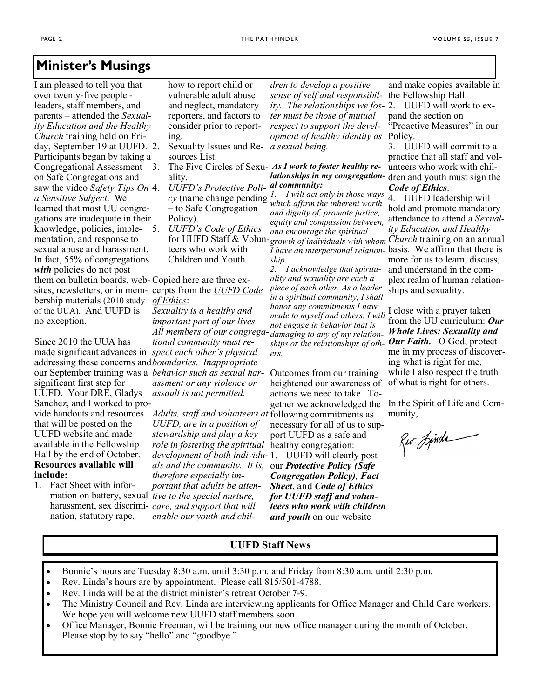### **Minister's Musings**

I am pleased to tell you that over twenty-five people leaders, staff members, and parents – attended the *Sexuality Education and the Healthy Church* training held on Friday, September 19 at UUFD. Participants began by taking a Congregational Assessment on Safe Congregations and saw the video *Safety Tips On a Sensitive Subject*. We learned that most UU congregations are inadequate in their knowledge, policies, imple-5. *UUFD's Code of Ethics* mentation, and response to sexual abuse and harassment. In fact, 55% of congregations *with* policies do not post them on bulletin boards, web-Copied here are three exsites, newsletters, or in mem-cerpts from the *UUFD Code*  bership materials (2010 study of the UUA). And UUFD is no exception.

Since 2010 the UUA has made significant advances in *spect each other's physical*  addressing these concerns and *boundaries. Inappropriate*  significant first step for UUFD. Your DRE, Gladys Sanchez, and I worked to prothat will be posted on the UUFD website and made available in the Fellowship Hall by the end of October. **Resources available will include:** 

1. Fact Sheet with infornation, statutory rape, how to report child or vulnerable adult abuse and neglect, mandatory reporters, and factors to consider prior to reporting.

- 2. Sexuality Issues and Re-*a sexual being.* sources List.
	- ality.
	- 4. *UUFD's Protective Poli-*– to Safe Congregation Policy). teers who work with

*of Ethics*:

Children and Youth

our September training was a *behavior such as sexual har-Sexuality is a healthy and important part of our lives. All members of our congregational community must reassment or any violence or assault is not permitted.* 

vide handouts and resources *Adults, staff and volunteers at*  following commitments as mation on battery, sexual *tive to the special nurture,*  harassment, sex discrimi-*care, and support that will UUFD, are in a position of stewardship and play a key role in fostering the spiritual*  healthy congregation: *development of both individu-*1. UUFD will clearly post *als and the community. It is,*  our *Protective Policy (Safe therefore especially important that adults be attenenable our youth and chil-*

*dren to develop a positive sense of self and responsibility. The relationships we fos-*2. UUFD will work to ex*ter must be those of mutual respect to support the development of healthy identity as*  Policy.

#### 3. The Five Circles of Sexu-*As I work to foster healthy relationships in my congregation-*dren and youth must sign the *al community:*

*cy* (name change pending *1. I will act only in those ways which affirm the inherent worth and dignity of, promote justice, equity and compassion between, and encourage the spiritual ship.*

*2. I acknowledge that spirituality and sexuality are each a piece of each other. As a leader in a spiritual community, I shall honor any commitments I have made to myself and others. I will*  I close with a prayer taken *not engage in behavior that is damaging to any of my relation-Whole Lives: Sexuality and ships or the relationships of oth-Our Faith.* O God, protect *ers.*

Outcomes from our training heightened our awareness of actions we need to take. Tonecessary for all of us to support UUFD as a safe and

*Congregation Policy), Fact Sheet*, and *Code of Ethics for UUFD staff and volunteers who work with children and youth* on our website

and make copies available in the Fellowship Hall. pand the section on "Proactive Measures" in our

3. UUFD will commit to a practice that all staff and volunteers who work with chil-*Code of Ethics*.

for UUFD Staff & Volun-*growth of individuals with whom Church* training on an annual *I have an interpersonal relation-*basis. We affirm that there is 4. UUFD leadership will hold and promote mandatory attendance to attend a *Sexuality Education and Healthy* more for us to learn, discuss, and understand in the complex realm of human relationships and sexuality.

> from the UU curriculum: *Our*  me in my process of discovering what is right for me, while I also respect the truth of what is right for others.

gether we acknowledged the In the Spirit of Life and Community,

Rur. Jinda

#### **UUFD Staff News**

- Bonnie's hours are Tuesday 8:30 a.m. until 3:30 p.m. and Friday from 8:30 a.m. until 2:30 p.m.
- Rev. Linda's hours are by appointment. Please call 815/501-4788.
- Rev. Linda will be at the district minister's retreat October 7-9.
- The Ministry Council and Rev. Linda are interviewing applicants for Office Manager and Child Care workers. We hope you will welcome new UUFD staff members soon.
- Office Manager, Bonnie Freeman, will be training our new office manager during the month of October. Please stop by to say "hello" and "goodbye."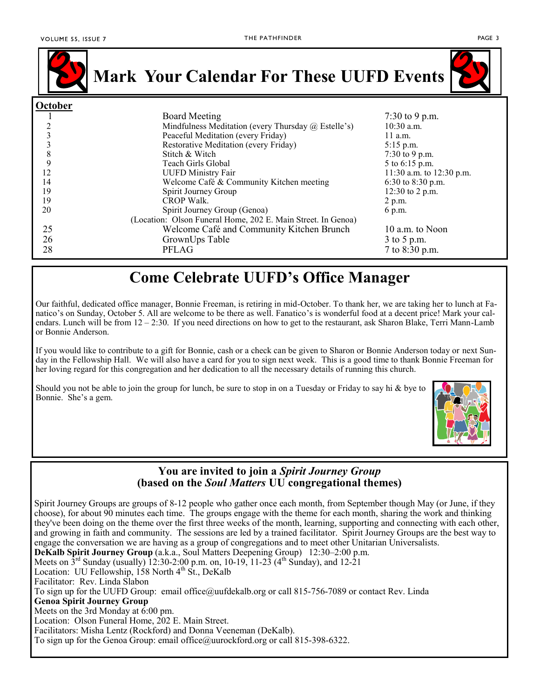

**Mark Your Calendar For These UUFD Events**

| October |                                                              |                          |
|---------|--------------------------------------------------------------|--------------------------|
|         | <b>Board Meeting</b>                                         | 7:30 to 9 p.m.           |
|         | Mindfulness Meditation (every Thursday $(a)$ Estelle's)      | $10:30$ a.m.             |
|         | Peaceful Meditation (every Friday)                           | $11$ a.m.                |
|         | Restorative Meditation (every Friday)                        | $5:15$ p.m.              |
| 8       | Stitch & Witch                                               | 7:30 to 9 p.m.           |
| 9       | Teach Girls Global                                           | 5 to 6:15 p.m.           |
| 12      | <b>UUFD Ministry Fair</b>                                    | 11:30 a.m. to 12:30 p.m. |
| 14      | Welcome Café & Community Kitchen meeting                     | 6:30 to 8:30 p.m.        |
| 19      | Spirit Journey Group                                         | $12:30$ to 2 p.m.        |
| 19      | <b>CROP Walk.</b>                                            | 2 p.m.                   |
| 20      | Spirit Journey Group (Genoa)                                 | 6 p.m.                   |
|         | (Location: Olson Funeral Home, 202 E. Main Street. In Genoa) |                          |
| 25      | Welcome Café and Community Kitchen Brunch                    | 10 a.m. to Noon          |
| 26      | GrownUps Table                                               | 3 to 5 p.m.              |
| 28      | PFLAG                                                        | 7 to 8:30 p.m.           |

# **Come Celebrate UUFD's Office Manager**

Our faithful, dedicated office manager, Bonnie Freeman, is retiring in mid-October. To thank her, we are taking her to lunch at Fanatico's on Sunday, October 5. All are welcome to be there as well. Fanatico's is wonderful food at a decent price! Mark your calendars. Lunch will be from 12 – 2:30. If you need directions on how to get to the restaurant, ask Sharon Blake, Terri Mann-Lamb or Bonnie Anderson.

If you would like to contribute to a gift for Bonnie, cash or a check can be given to Sharon or Bonnie Anderson today or next Sunday in the Fellowship Hall. We will also have a card for you to sign next week. This is a good time to thank Bonnie Freeman for her loving regard for this congregation and her dedication to all the necessary details of running this church.

Should you not be able to join the group for lunch, be sure to stop in on a Tuesday or Friday to say hi & bye to Bonnie. She's a gem.



#### **You are invited to join a** *Spirit Journey Group* **(based on the** *Soul Matters* **UU congregational themes)**

Spirit Journey Groups are groups of 8-12 people who gather once each month, from September though May (or June, if they choose), for about 90 minutes each time. The groups engage with the theme for each month, sharing the work and thinking they've been doing on the theme over the first three weeks of the month, learning, supporting and connecting with each other, and growing in faith and community. The sessions are led by a trained facilitator. Spirit Journey Groups are the best way to engage the conversation we are having as a group of congregations and to meet other Unitarian Universalists. **DeKalb Spirit Journey Group** (a.k.a., Soul Matters Deepening Group) 12:30–2:00 p.m.

Meets on  $3^{\text{rd}}$  Sunday (usually) 12:30-2:00 p.m. on, 10-19, 11-23 (4<sup>th</sup> Sunday), and 12-21

Location: UU Fellowship,  $158$  North  $4<sup>th</sup>$  St., DeKalb

Facilitator: Rev. Linda Slabon

To sign up for the UUFD Group: email office@uufdekalb.org or call 815-756-7089 or contact Rev. Linda

**Genoa Spirit Journey Group**

Meets on the 3rd Monday at  $\overline{6:}00$  pm.

Location: Olson Funeral Home, 202 E. Main Street.

Facilitators: Misha Lentz (Rockford) and Donna Veeneman (DeKalb).

To sign up for the Genoa Group: email office@uurockford.org or call 815-398-6322.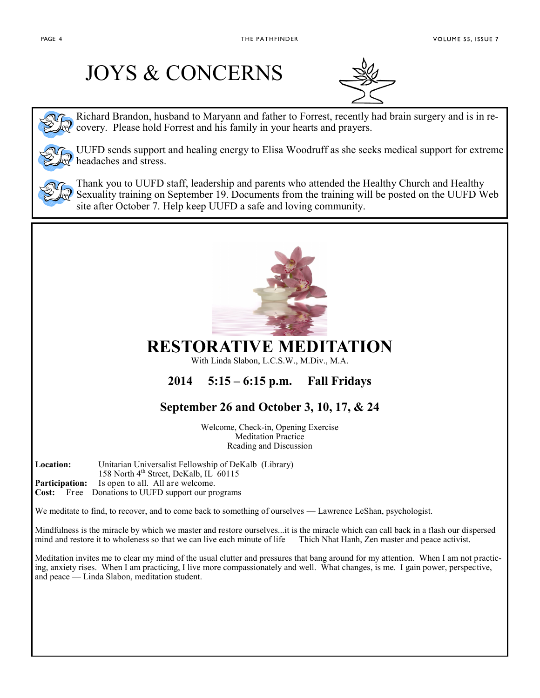# JOYS & CONCERNS



Richard Brandon, husband to Maryann and father to Forrest, recently had brain surgery and is in recovery. Please hold Forrest and his family in your hearts and prayers.



UUFD sends support and healing energy to Elisa Woodruff as she seeks medical support for extreme headaches and stress.



Thank you to UUFD staff, leadership and parents who attended the Healthy Church and Healthy Sexuality training on September 19. Documents from the training will be posted on the UUFD Web site after October 7. Help keep UUFD a safe and loving community.



### **RESTORATIVE MEDITATION**

With Linda Slabon, L.C.S.W., M.Div., M.A.

## **2014 5:15 – 6:15 p.m. Fall Fridays**

## **September 26 and October 3, 10, 17, & 24**

Welcome, Check-in, Opening Exercise Meditation Practice Reading and Discussion

**Location:** Unitarian Universalist Fellowship of DeKalb (Library)

158 North 4<sup>th</sup> Street, DeKalb, IL<sup>1</sup> 60115

**Participation:** Is open to all. All are welcome.

**Cost:** Free – Donations to UUFD support our programs

We meditate to find, to recover, and to come back to something of ourselves — Lawrence LeShan, psychologist.

Mindfulness is the miracle by which we master and restore ourselves...it is the miracle which can call back in a flash our dispersed mind and restore it to wholeness so that we can live each minute of life — Thich Nhat Hanh, Zen master and peace activist.

Meditation invites me to clear my mind of the usual clutter and pressures that bang around for my attention. When I am not practicing, anxiety rises. When I am practicing, I live more compassionately and well. What changes, is me. I gain power, perspective, and peace — Linda Slabon, meditation student.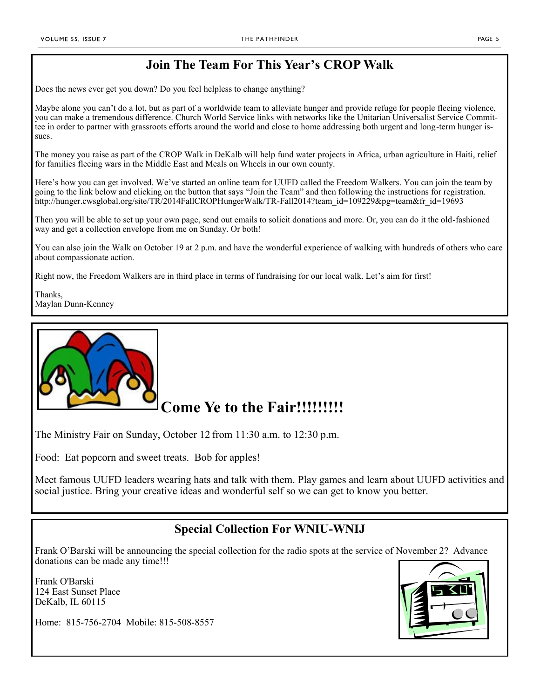### **Join The Team For This Year's CROP Walk**

Does the news ever get you down? Do you feel helpless to change anything?

Maybe alone you can't do a lot, but as part of a worldwide team to alleviate hunger and provide refuge for people fleeing violence, you can make a tremendous difference. Church World Service links with networks like the Unitarian Universalist Service Committee in order to partner with grassroots efforts around the world and close to home addressing both urgent and long-term hunger issues.

The money you raise as part of the CROP Walk in DeKalb will help fund water projects in Africa, urban agriculture in Haiti, relief for families fleeing wars in the Middle East and Meals on Wheels in our own county.

Here's how you can get involved. We've started an online team for UUFD called the Freedom Walkers. You can join the team by going to the link below and clicking on the button that says "Join the Team" and then following the instructions for registration. http://hunger.cwsglobal.org/site/TR/2014FallCROPHungerWalk/TR-Fall2014?team\_id=109229&pg=team&fr\_id=19693

Then you will be able to set up your own page, send out emails to solicit donations and more. Or, you can do it the old-fashioned way and get a collection envelope from me on Sunday. Or both!

You can also join the Walk on October 19 at 2 p.m. and have the wonderful experience of walking with hundreds of others who care about compassionate action.

Right now, the Freedom Walkers are in third place in terms of fundraising for our local walk. Let's aim for first!

Thanks, Maylan Dunn-Kenney



# **Come Ye to the Fair!!!!!!!!!**

The Ministry Fair on Sunday, October 12 from 11:30 a.m. to 12:30 p.m.

Food: Eat popcorn and sweet treats. Bob for apples!

Meet famous UUFD leaders wearing hats and talk with them. Play games and learn about UUFD activities and social justice. Bring your creative ideas and wonderful self so we can get to know you better.

#### **Special Collection For WNIU-WNIJ**

Frank O'Barski will be announcing the special collection for the radio spots at the service of November 2? Advance donations can be made any time!!!

Frank O'Barski 124 East Sunset Place DeKalb, IL 60115